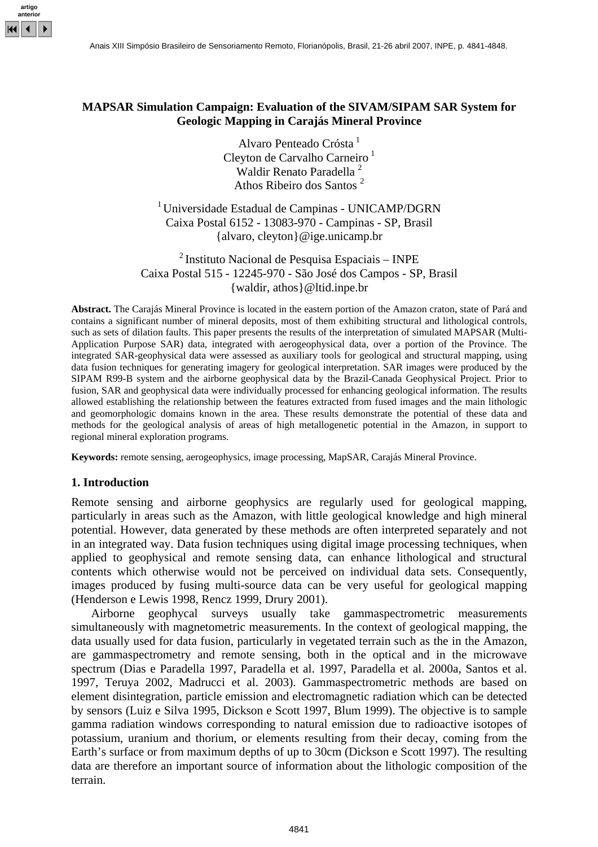

# **MAPSAR Simulation Campaign: Evaluation of the SIVAM/SIPAM SAR System for Geologic Mapping in Carajás Mineral Province**

Alvaro Penteado Crósta<sup>1</sup> Cleyton de Carvalho Carneiro<sup>1</sup> Waldir Renato Paradella<sup>2</sup> Athos Ribeiro dos Santos 2

<sup>1</sup> Universidade Estadual de Campinas - UNICAMP/DGRN Caixa Postal 6152 - 13083-970 - Campinas - SP, Brasil {alvaro, cleyton}@ige.unicamp.br

 $<sup>2</sup>$  Instituto Nacional de Pesquisa Espaciais – INPE</sup> Caixa Postal 515 - 12245-970 - São José dos Campos - SP, Brasil {waldir, athos}@ltid.inpe.br

**Abstract.** The Carajás Mineral Province is located in the eastern portion of the Amazon craton, state of Pará and contains a significant number of mineral deposits, most of them exhibiting structural and lithological controls, such as sets of dilation faults. This paper presents the results of the interpretation of simulated MAPSAR (Multi-Application Purpose SAR) data, integrated with aerogeophysical data, over a portion of the Province. The integrated SAR-geophysical data were assessed as auxiliary tools for geological and structural mapping, using data fusion techniques for generating imagery for geological interpretation. SAR images were produced by the SIPAM R99-B system and the airborne geophysical data by the Brazil-Canada Geophysical Project. Prior to fusion, SAR and geophysical data were individually processed for enhancing geological information. The results allowed establishing the relationship between the features extracted from fused images and the main lithologic and geomorphologic domains known in the area. These results demonstrate the potential of these data and methods for the geological analysis of areas of high metallogenetic potential in the Amazon, in support to regional mineral exploration programs.

**Keywords:** remote sensing, aerogeophysics, image processing, MapSAR, Carajás Mineral Province.

#### **1. Introduction**

Remote sensing and airborne geophysics are regularly used for geological mapping, particularly in areas such as the Amazon, with little geological knowledge and high mineral potential. However, data generated by these methods are often interpreted separately and not in an integrated way. Data fusion techniques using digital image processing techniques, when applied to geophysical and remote sensing data, can enhance lithological and structural contents which otherwise would not be perceived on individual data sets. Consequently, images produced by fusing multi-source data can be very useful for geological mapping (Henderson e Lewis 1998, Rencz 1999, Drury 2001).

Airborne geophycal surveys usually take gammaspectrometric measurements simultaneously with magnetometric measurements. In the context of geological mapping, the data usually used for data fusion, particularly in vegetated terrain such as the in the Amazon, are gammaspectrometry and remote sensing, both in the optical and in the microwave spectrum (Dias e Paradella 1997, Paradella et al. 1997, Paradella et al. 2000a, Santos et al. 1997, Teruya 2002, Madrucci et al. 2003). Gammaspectrometric methods are based on element disintegration, particle emission and electromagnetic radiation which can be detected by sensors (Luiz e Silva 1995, Dickson e Scott 1997, Blum 1999). The objective is to sample gamma radiation windows corresponding to natural emission due to radioactive isotopes of potassium, uranium and thorium, or elements resulting from their decay, coming from the Earth's surface or from maximum depths of up to 30cm (Dickson e Scott 1997). The resulting data are therefore an important source of information about the lithologic composition of the terrain.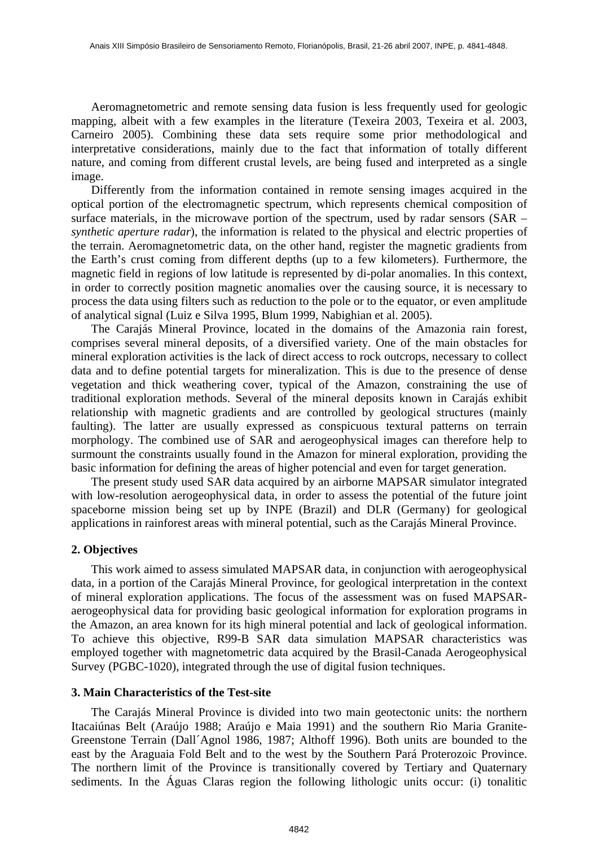Aeromagnetometric and remote sensing data fusion is less frequently used for geologic mapping, albeit with a few examples in the literature (Texeira 2003, Texeira et al. 2003, Carneiro 2005). Combining these data sets require some prior methodological and interpretative considerations, mainly due to the fact that information of totally different nature, and coming from different crustal levels, are being fused and interpreted as a single image.

Differently from the information contained in remote sensing images acquired in the optical portion of the electromagnetic spectrum, which represents chemical composition of surface materials, in the microwave portion of the spectrum, used by radar sensors (SAR – *synthetic aperture radar*), the information is related to the physical and electric properties of the terrain. Aeromagnetometric data, on the other hand, register the magnetic gradients from the Earth's crust coming from different depths (up to a few kilometers). Furthermore, the magnetic field in regions of low latitude is represented by di-polar anomalies. In this context, in order to correctly position magnetic anomalies over the causing source, it is necessary to process the data using filters such as reduction to the pole or to the equator, or even amplitude of analytical signal (Luiz e Silva 1995, Blum 1999, Nabighian et al. 2005).

The Carajás Mineral Province, located in the domains of the Amazonia rain forest, comprises several mineral deposits, of a diversified variety. One of the main obstacles for mineral exploration activities is the lack of direct access to rock outcrops, necessary to collect data and to define potential targets for mineralization. This is due to the presence of dense vegetation and thick weathering cover, typical of the Amazon, constraining the use of traditional exploration methods. Several of the mineral deposits known in Carajás exhibit relationship with magnetic gradients and are controlled by geological structures (mainly faulting). The latter are usually expressed as conspicuous textural patterns on terrain morphology. The combined use of SAR and aerogeophysical images can therefore help to surmount the constraints usually found in the Amazon for mineral exploration, providing the basic information for defining the areas of higher potencial and even for target generation.

The present study used SAR data acquired by an airborne MAPSAR simulator integrated with low-resolution aerogeophysical data, in order to assess the potential of the future joint spaceborne mission being set up by INPE (Brazil) and DLR (Germany) for geological applications in rainforest areas with mineral potential, such as the Carajás Mineral Province.

# **2. Objectives**

This work aimed to assess simulated MAPSAR data, in conjunction with aerogeophysical data, in a portion of the Carajás Mineral Province, for geological interpretation in the context of mineral exploration applications. The focus of the assessment was on fused MAPSARaerogeophysical data for providing basic geological information for exploration programs in the Amazon, an area known for its high mineral potential and lack of geological information. To achieve this objective, R99-B SAR data simulation MAPSAR characteristics was employed together with magnetometric data acquired by the Brasil-Canada Aerogeophysical Survey (PGBC-1020), integrated through the use of digital fusion techniques.

#### **3. Main Characteristics of the Test-site**

The Carajás Mineral Province is divided into two main geotectonic units: the northern Itacaiúnas Belt (Araújo 1988; Araújo e Maia 1991) and the southern Rio Maria Granite-Greenstone Terrain (Dall´Agnol 1986, 1987; Althoff 1996). Both units are bounded to the east by the Araguaia Fold Belt and to the west by the Southern Pará Proterozoic Province. The northern limit of the Province is transitionally covered by Tertiary and Quaternary sediments. In the Águas Claras region the following lithologic units occur: (i) tonalitic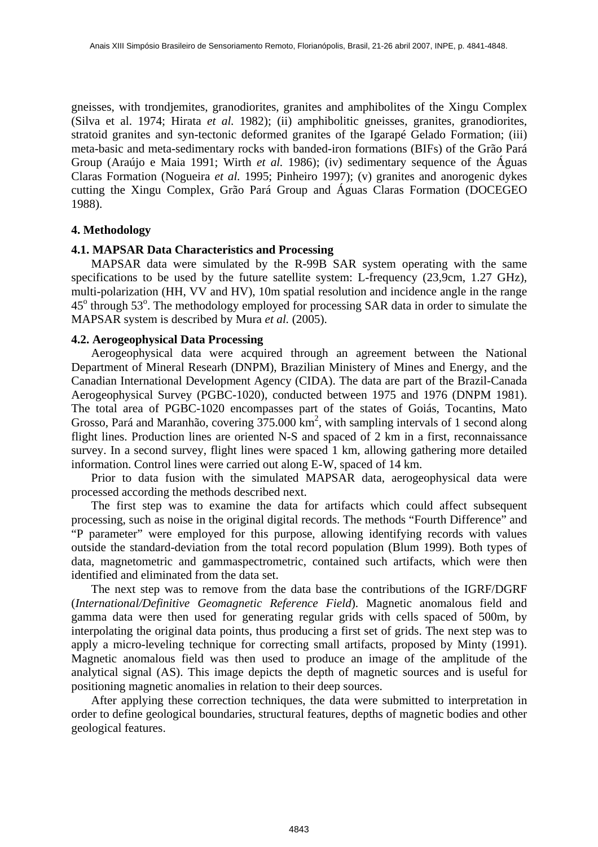gneisses, with trondjemites, granodiorites, granites and amphibolites of the Xingu Complex (Silva et al. 1974; Hirata *et al.* 1982); (ii) amphibolitic gneisses, granites, granodiorites, stratoid granites and syn-tectonic deformed granites of the Igarapé Gelado Formation; (iii) meta-basic and meta-sedimentary rocks with banded-iron formations (BIFs) of the Grão Pará Group (Araújo e Maia 1991; Wirth *et al.* 1986); (iv) sedimentary sequence of the Águas Claras Formation (Nogueira *et al.* 1995; Pinheiro 1997); (v) granites and anorogenic dykes cutting the Xingu Complex, Grão Pará Group and Águas Claras Formation (DOCEGEO 1988).

#### **4. Methodology**

### **4.1. MAPSAR Data Characteristics and Processing**

MAPSAR data were simulated by the R-99B SAR system operating with the same specifications to be used by the future satellite system: L-frequency (23,9cm, 1.27 GHz), multi-polarization (HH, VV and HV), 10m spatial resolution and incidence angle in the range 45<sup>°</sup> through 53<sup>°</sup>. The methodology employed for processing SAR data in order to simulate the MAPSAR system is described by Mura *et al.* (2005).

#### **4.2. Aerogeophysical Data Processing**

Aerogeophysical data were acquired through an agreement between the National Department of Mineral Researh (DNPM), Brazilian Ministery of Mines and Energy, and the Canadian International Development Agency (CIDA). The data are part of the Brazil-Canada Aerogeophysical Survey (PGBC-1020), conducted between 1975 and 1976 (DNPM 1981). The total area of PGBC-1020 encompasses part of the states of Goiás, Tocantins, Mato Grosso, Pará and Maranhão, covering  $375.000 \text{ km}^2$ , with sampling intervals of 1 second along flight lines. Production lines are oriented N-S and spaced of 2 km in a first, reconnaissance survey. In a second survey, flight lines were spaced 1 km, allowing gathering more detailed information. Control lines were carried out along E-W, spaced of 14 km.

Prior to data fusion with the simulated MAPSAR data, aerogeophysical data were processed according the methods described next.

The first step was to examine the data for artifacts which could affect subsequent processing, such as noise in the original digital records. The methods "Fourth Difference" and "P parameter" were employed for this purpose, allowing identifying records with values outside the standard-deviation from the total record population (Blum 1999). Both types of data, magnetometric and gammaspectrometric, contained such artifacts, which were then identified and eliminated from the data set.

The next step was to remove from the data base the contributions of the IGRF/DGRF (*International/Definitive Geomagnetic Reference Field*). Magnetic anomalous field and gamma data were then used for generating regular grids with cells spaced of 500m, by interpolating the original data points, thus producing a first set of grids. The next step was to apply a micro-leveling technique for correcting small artifacts, proposed by Minty (1991). Magnetic anomalous field was then used to produce an image of the amplitude of the analytical signal (AS). This image depicts the depth of magnetic sources and is useful for positioning magnetic anomalies in relation to their deep sources.

After applying these correction techniques, the data were submitted to interpretation in order to define geological boundaries, structural features, depths of magnetic bodies and other geological features.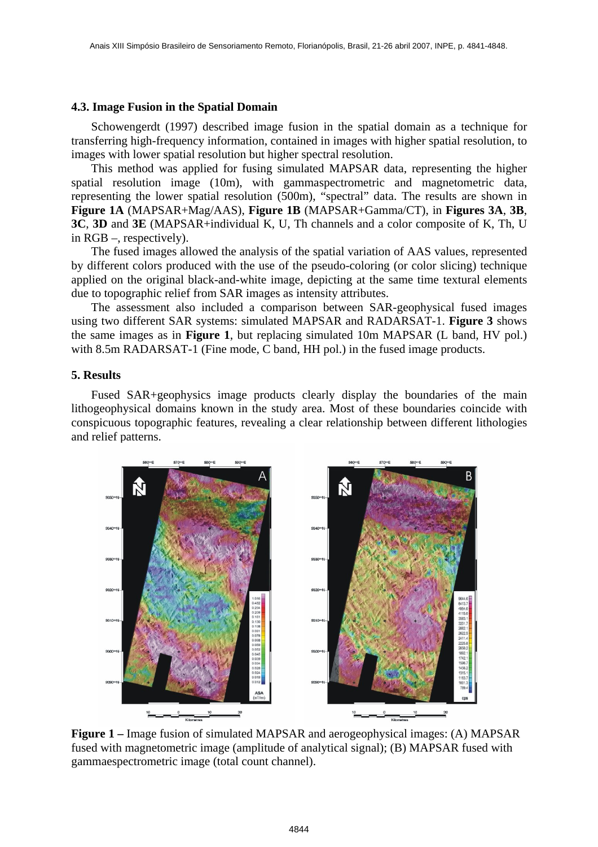### **4.3. Image Fusion in the Spatial Domain**

Schowengerdt (1997) described image fusion in the spatial domain as a technique for transferring high-frequency information, contained in images with higher spatial resolution, to images with lower spatial resolution but higher spectral resolution.

This method was applied for fusing simulated MAPSAR data, representing the higher spatial resolution image (10m), with gammaspectrometric and magnetometric data, representing the lower spatial resolution (500m), "spectral" data. The results are shown in **Figure 1A** (MAPSAR+Mag/AAS), **Figure 1B** (MAPSAR+Gamma/CT), in **Figures 3A**, **3B**, **3C**, **3D** and **3E** (MAPSAR+individual K, U, Th channels and a color composite of K, Th, U in RGB –, respectively).

The fused images allowed the analysis of the spatial variation of AAS values, represented by different colors produced with the use of the pseudo-coloring (or color slicing) technique applied on the original black-and-white image, depicting at the same time textural elements due to topographic relief from SAR images as intensity attributes.

The assessment also included a comparison between SAR-geophysical fused images using two different SAR systems: simulated MAPSAR and RADARSAT-1. **Figure 3** shows the same images as in **Figure 1**, but replacing simulated 10m MAPSAR (L band, HV pol.) with 8.5m RADARSAT-1 (Fine mode, C band, HH pol.) in the fused image products.

#### **5. Results**

Fused SAR+geophysics image products clearly display the boundaries of the main lithogeophysical domains known in the study area. Most of these boundaries coincide with conspicuous topographic features, revealing a clear relationship between different lithologies and relief patterns.



**Figure 1 –** Image fusion of simulated MAPSAR and aerogeophysical images: (A) MAPSAR fused with magnetometric image (amplitude of analytical signal); (B) MAPSAR fused with gammaespectrometric image (total count channel).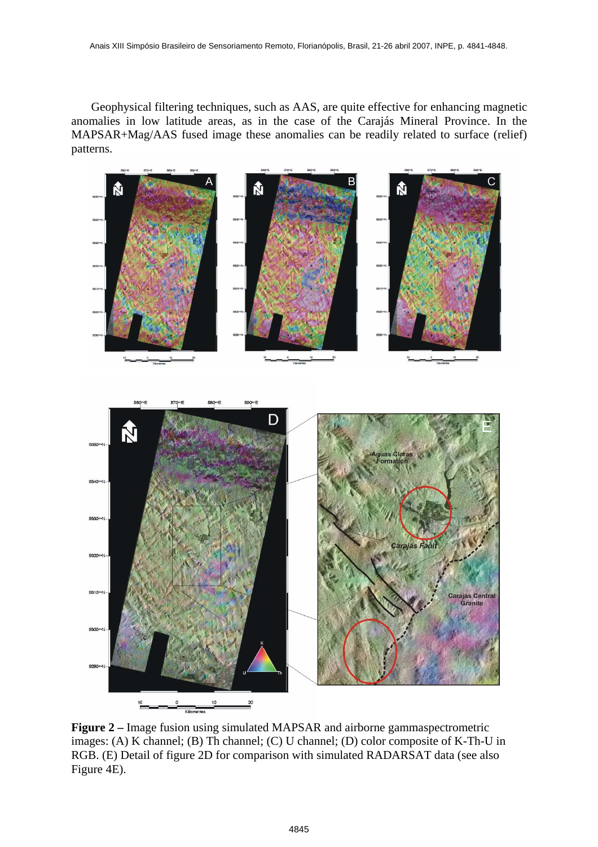Geophysical filtering techniques, such as AAS, are quite effective for enhancing magnetic anomalies in low latitude areas, as in the case of the Carajás Mineral Province. In the MAPSAR+Mag/AAS fused image these anomalies can be readily related to surface (relief) patterns.





**Figure 2 –** Image fusion using simulated MAPSAR and airborne gammaspectrometric images: (A) K channel; (B) Th channel; (C) U channel; (D) color composite of K-Th-U in RGB. (E) Detail of figure 2D for comparison with simulated RADARSAT data (see also Figure 4E).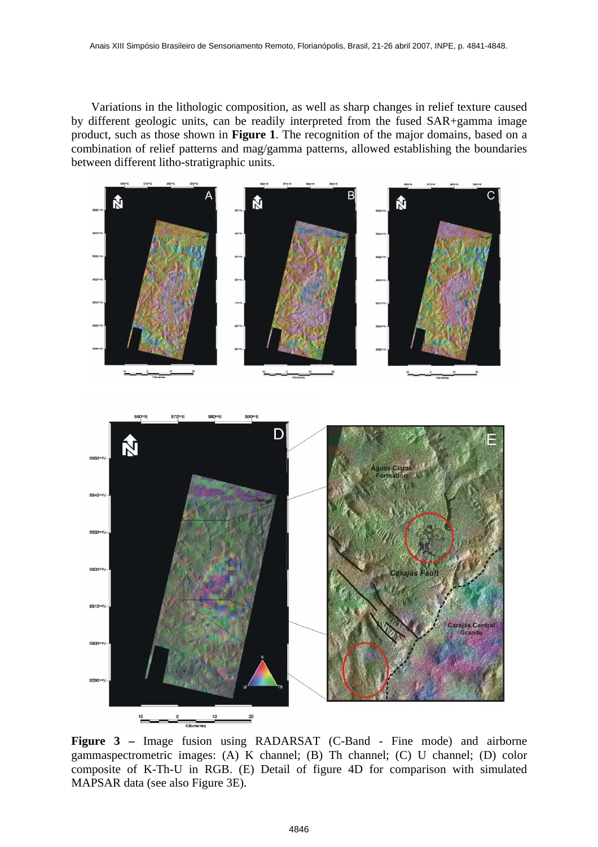Variations in the lithologic composition, as well as sharp changes in relief texture caused by different geologic units, can be readily interpreted from the fused SAR+gamma image product, such as those shown in **Figure 1**. The recognition of the major domains, based on a combination of relief patterns and mag/gamma patterns, allowed establishing the boundaries between different litho-stratigraphic units.



**Figure 3 –** Image fusion using RADARSAT (C-Band - Fine mode) and airborne gammaspectrometric images: (A) K channel; (B) Th channel; (C) U channel; (D) color composite of K-Th-U in RGB. (E) Detail of figure 4D for comparison with simulated MAPSAR data (see also Figure 3E).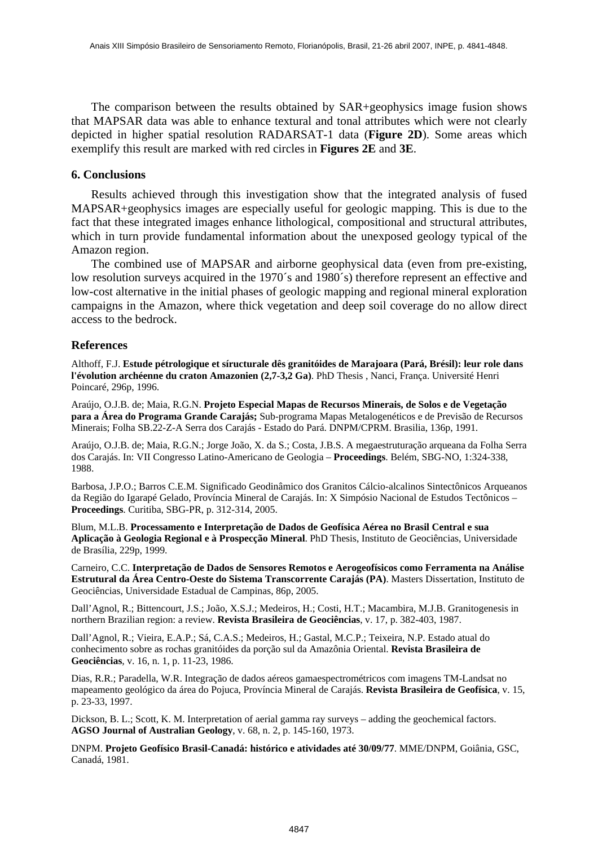The comparison between the results obtained by SAR+geophysics image fusion shows that MAPSAR data was able to enhance textural and tonal attributes which were not clearly depicted in higher spatial resolution RADARSAT-1 data (**Figure 2D**). Some areas which exemplify this result are marked with red circles in **Figures 2E** and **3E**.

### **6. Conclusions**

Results achieved through this investigation show that the integrated analysis of fused MAPSAR+geophysics images are especially useful for geologic mapping. This is due to the fact that these integrated images enhance lithological, compositional and structural attributes, which in turn provide fundamental information about the unexposed geology typical of the Amazon region.

The combined use of MAPSAR and airborne geophysical data (even from pre-existing, low resolution surveys acquired in the 1970´s and 1980´s) therefore represent an effective and low-cost alternative in the initial phases of geologic mapping and regional mineral exploration campaigns in the Amazon, where thick vegetation and deep soil coverage do no allow direct access to the bedrock.

# **References**

Althoff, F.J. **Estude pétrologique et síructurale dês granitóides de Marajoara (Pará, Brésil): leur role dans l'évolution archéenne du craton Amazonien (2,7-3,2 Ga)**. PhD Thesis , Nanci, França. Université Henri Poincaré, 296p, 1996.

Araújo, O.J.B. de; Maia, R.G.N. **Projeto Especial Mapas de Recursos Minerais, de Solos e de Vegetação para a Área do Programa Grande Carajás;** Sub-programa Mapas Metalogenéticos e de Previsão de Recursos Minerais; Folha SB.22-Z-A Serra dos Carajás - Estado do Pará. DNPM/CPRM. Brasilia, 136p, 1991.

Araújo, O.J.B. de; Maia, R.G.N.; Jorge João, X. da S.; Costa, J.B.S. A megaestruturação arqueana da Folha Serra dos Carajás. In: VII Congresso Latino-Americano de Geologia – **Proceedings**. Belém, SBG-NO, 1:324-338, 1988.

Barbosa, J.P.O.; Barros C.E.M. Significado Geodinâmico dos Granitos Cálcio-alcalinos Sintectônicos Arqueanos da Região do Igarapé Gelado, Província Mineral de Carajás. In: X Simpósio Nacional de Estudos Tectônicos – **Proceedings**. Curitiba, SBG-PR, p. 312-314, 2005.

Blum, M.L.B. **Processamento e Interpretação de Dados de Geofísica Aérea no Brasil Central e sua Aplicação à Geologia Regional e à Prospecção Mineral**. PhD Thesis, Instituto de Geociências, Universidade de Brasília, 229p, 1999.

Carneiro, C.C. **Interpretação de Dados de Sensores Remotos e Aerogeofísicos como Ferramenta na Análise Estrutural da Área Centro-Oeste do Sistema Transcorrente Carajás (PA)**. Masters Dissertation, Instituto de Geociências, Universidade Estadual de Campinas, 86p, 2005.

Dall'Agnol, R.; Bittencourt, J.S.; João, X.S.J.; Medeiros, H.; Costi, H.T.; Macambira, M.J.B. Granitogenesis in northern Brazilian region: a review. **Revista Brasileira de Geociências**, v. 17, p. 382-403, 1987.

Dall'Agnol, R.; Vieira, E.A.P.; Sá, C.A.S.; Medeiros, H.; Gastal, M.C.P.; Teixeira, N.P. Estado atual do conhecimento sobre as rochas granitóides da porção sul da Amazônia Oriental. **Revista Brasileira de Geociências**, v. 16, n. 1, p. 11-23, 1986.

Dias, R.R.; Paradella, W.R. Integração de dados aéreos gamaespectrométricos com imagens TM-Landsat no mapeamento geológico da área do Pojuca, Província Mineral de Carajás. **Revista Brasileira de Geofísica**, v. 15, p. 23-33, 1997.

Dickson, B. L.; Scott, K. M. Interpretation of aerial gamma ray surveys – adding the geochemical factors. **AGSO Journal of Australian Geology**, v. 68, n. 2, p. 145-160, 1973.

DNPM. **Projeto Geofísico Brasil-Canadá: histórico e atividades até 30/09/77**. MME/DNPM, Goiânia, GSC, Canadá, 1981.